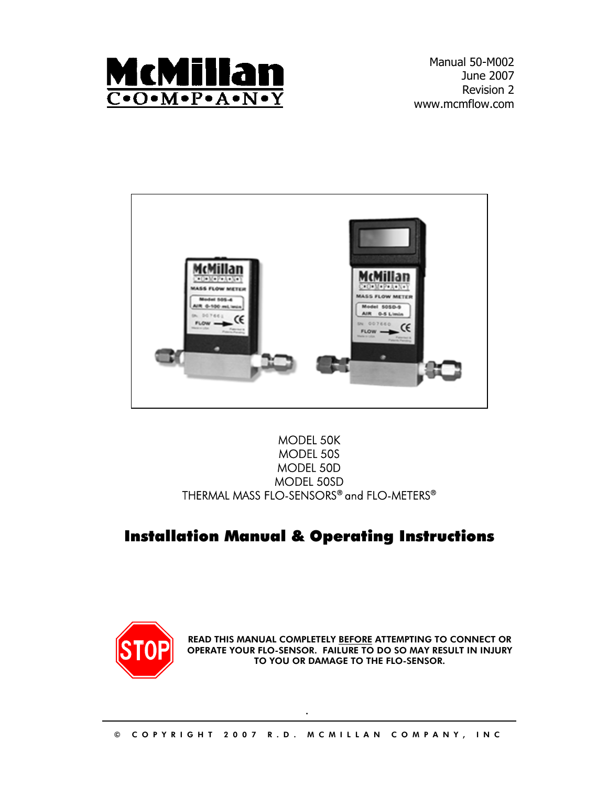

Manual 50-M002 June 2007 Revision 2 www.mcmflow.com



## MODEL 50K MODEL 50S MODEL 50D MODEL 50SD THERMAL MASS FLO-SENSORS® and FLO-METERS®

## Installation Manual & Operating Instructions



READ THIS MANUAL COMPLETELY <u>BEFORE</u> ATTEMPTING TO CONNECT OR OPERATE YOUR FLO-SENSOR. FAILURE TO DO SO MAY RESULT IN INJURY TO YOU OR DAMAGE TO THE FLO-SENSOR.

.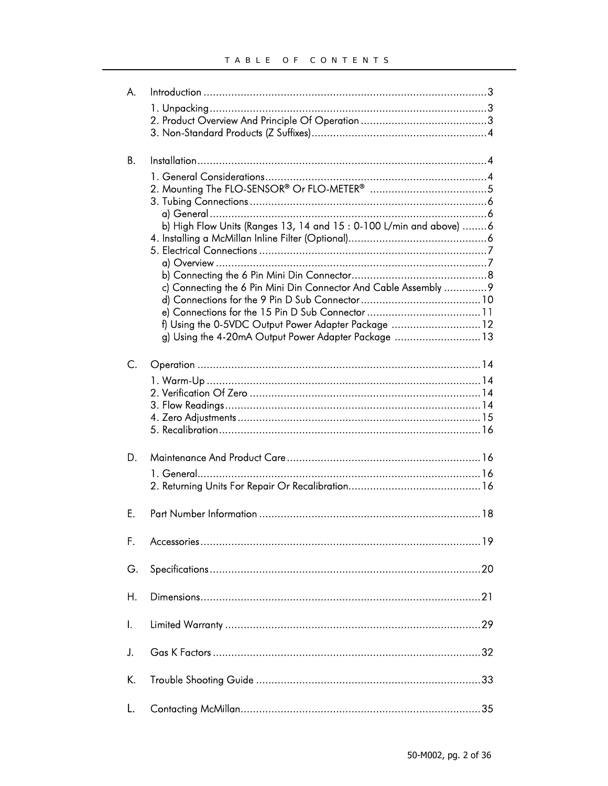| А. |                                                                     |  |
|----|---------------------------------------------------------------------|--|
|    |                                                                     |  |
|    |                                                                     |  |
|    |                                                                     |  |
|    |                                                                     |  |
| В. |                                                                     |  |
|    |                                                                     |  |
|    |                                                                     |  |
|    |                                                                     |  |
|    |                                                                     |  |
|    | b) High Flow Units (Ranges 13, 14 and $15:0-100$ L/min and above) 6 |  |
|    |                                                                     |  |
|    |                                                                     |  |
|    |                                                                     |  |
|    |                                                                     |  |
|    | c) Connecting the 6 Pin Mini Din Connector And Cable Assembly  9    |  |
|    |                                                                     |  |
|    |                                                                     |  |
|    | f) Using the 0-5VDC Output Power Adapter Package  12                |  |
|    | g) Using the 4-20mA Output Power Adapter Package  13                |  |
|    |                                                                     |  |
| C. |                                                                     |  |
|    |                                                                     |  |
|    |                                                                     |  |
|    |                                                                     |  |
|    |                                                                     |  |
|    |                                                                     |  |
|    |                                                                     |  |
| D. |                                                                     |  |
|    | 1. General                                                          |  |
|    |                                                                     |  |
|    |                                                                     |  |
| Е. |                                                                     |  |
|    |                                                                     |  |
|    |                                                                     |  |
| F. |                                                                     |  |
|    |                                                                     |  |
| G. |                                                                     |  |
|    |                                                                     |  |
| Η. |                                                                     |  |
|    |                                                                     |  |
| I. |                                                                     |  |
|    |                                                                     |  |
| J. |                                                                     |  |
|    |                                                                     |  |
| K. |                                                                     |  |
|    |                                                                     |  |
|    |                                                                     |  |
| L. |                                                                     |  |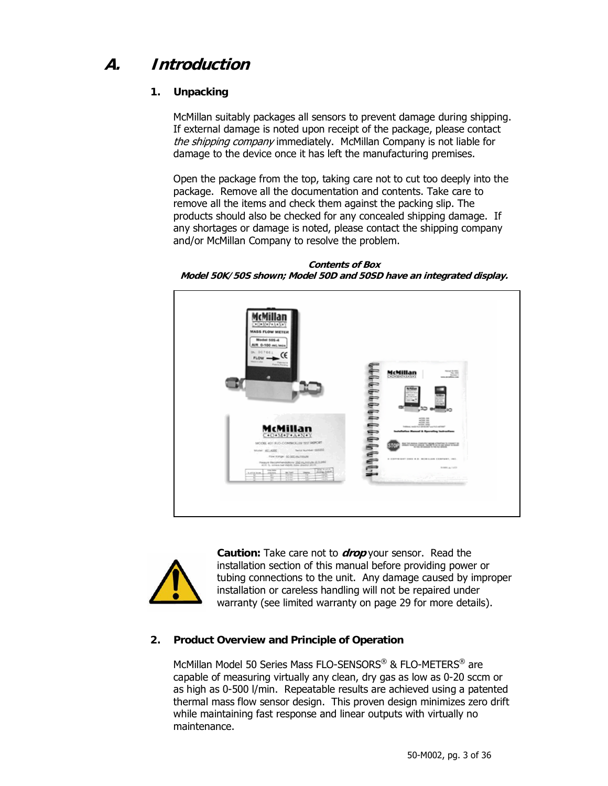## **A. Introduction**

## **1. Unpacking**

McMillan suitably packages all sensors to prevent damage during shipping. If external damage is noted upon receipt of the package, please contact the shipping company immediately. McMillan Company is not liable for damage to the device once it has left the manufacturing premises.

Open the package from the top, taking care not to cut too deeply into the package. Remove all the documentation and contents. Take care to remove all the items and check them against the packing slip. The products should also be checked for any concealed shipping damage. If any shortages or damage is noted, please contact the shipping company and/or McMillan Company to resolve the problem.

**Contents of Box Model 50K/50S shown; Model 50D and 50SD have an integrated display.** 





**Caution:** Take care not to **drop** your sensor. Read the installation section of this manual before providing power or tubing connections to the unit. Any damage caused by improper installation or careless handling will not be repaired under warranty (see limited warranty on page 29 for more details).

## **2. Product Overview and Principle of Operation**

McMillan Model 50 Series Mass FLO-SENSORS® & FLO-METERS® are capable of measuring virtually any clean, dry gas as low as 0-20 sccm or as high as 0-500 l/min. Repeatable results are achieved using a patented thermal mass flow sensor design. This proven design minimizes zero drift while maintaining fast response and linear outputs with virtually no maintenance.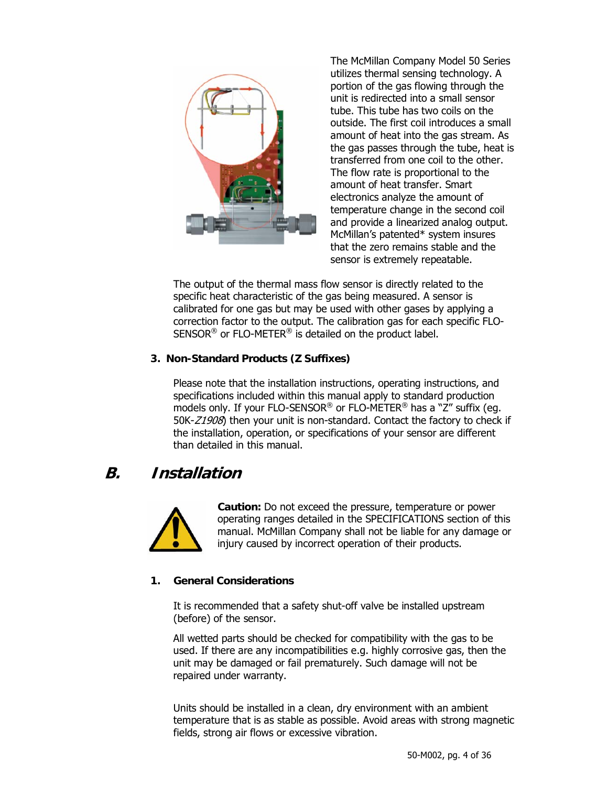

The McMillan Company Model 50 Series utilizes thermal sensing technology. A portion of the gas flowing through the unit is redirected into a small sensor tube. This tube has two coils on the outside. The first coil introduces a small amount of heat into the gas stream. As the gas passes through the tube, heat is transferred from one coil to the other. The flow rate is proportional to the amount of heat transfer. Smart electronics analyze the amount of temperature change in the second coil and provide a linearized analog output. McMillan's patented\* system insures that the zero remains stable and the sensor is extremely repeatable.

The output of the thermal mass flow sensor is directly related to the specific heat characteristic of the gas being measured. A sensor is calibrated for one gas but may be used with other gases by applying a correction factor to the output. The calibration gas for each specific FLO-SENSOR® or FLO-METER® is detailed on the product label.

## **3. Non-Standard Products (Z Suffixes)**

Please note that the installation instructions, operating instructions, and specifications included within this manual apply to standard production models only. If your FLO-SENSOR® or FLO-METER® has a "Z" suffix (eg. 50K-Z1908) then your unit is non-standard. Contact the factory to check if the installation, operation, or specifications of your sensor are different than detailed in this manual.

## **B. Installation**



**Caution:** Do not exceed the pressure, temperature or power operating ranges detailed in the SPECIFICATIONS section of this manual. McMillan Company shall not be liable for any damage or injury caused by incorrect operation of their products.

## **1. General Considerations**

It is recommended that a safety shut-off valve be installed upstream (before) of the sensor.

All wetted parts should be checked for compatibility with the gas to be used. If there are any incompatibilities e.g. highly corrosive gas, then the unit may be damaged or fail prematurely. Such damage will not be repaired under warranty.

Units should be installed in a clean, dry environment with an ambient temperature that is as stable as possible. Avoid areas with strong magnetic fields, strong air flows or excessive vibration.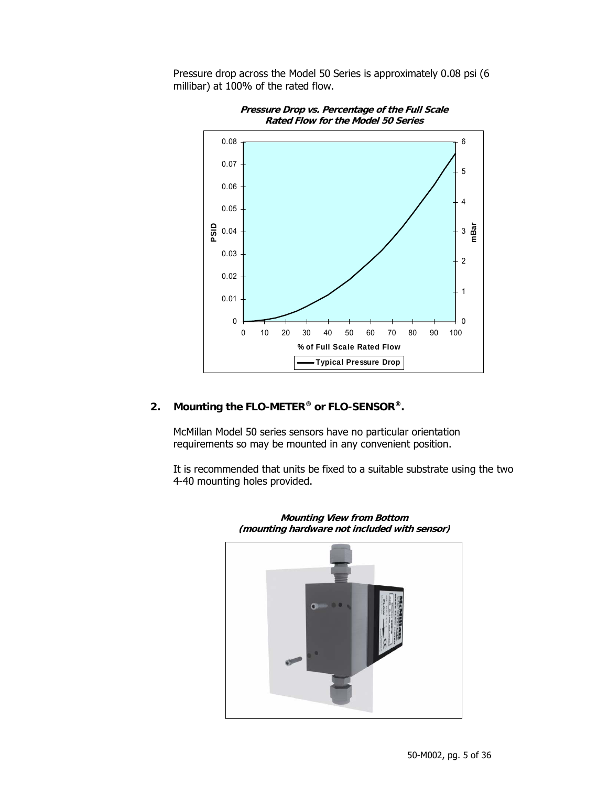Pressure drop across the Model 50 Series is approximately 0.08 psi (6 millibar) at 100% of the rated flow.



**Pressure Drop vs. Percentage of the Full Scale Rated Flow for the Model 50 Series** 

## **2. Mounting the FLO-METER® or FLO-SENSOR®.**

McMillan Model 50 series sensors have no particular orientation requirements so may be mounted in any convenient position.

It is recommended that units be fixed to a suitable substrate using the two 4-40 mounting holes provided.



**Mounting View from Bottom (mounting hardware not included with sensor)**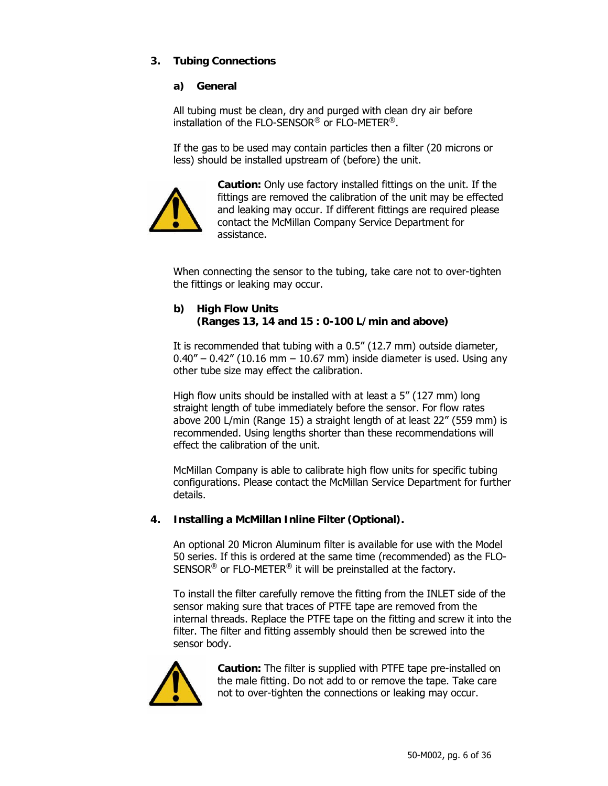## **3. Tubing Connections**

## **a) General**

All tubing must be clean, dry and purged with clean dry air before installation of the FLO-SENSOR® or FLO-METER®.

If the gas to be used may contain particles then a filter (20 microns or less) should be installed upstream of (before) the unit.



**Caution:** Only use factory installed fittings on the unit. If the fittings are removed the calibration of the unit may be effected and leaking may occur. If different fittings are required please contact the McMillan Company Service Department for assistance.

When connecting the sensor to the tubing, take care not to over-tighten the fittings or leaking may occur.

## **b) High Flow Units (Ranges 13, 14 and 15 : 0-100 L/min and above)**

It is recommended that tubing with a 0.5" (12.7 mm) outside diameter,  $0.40'' - 0.42''$  (10.16 mm  $- 10.67$  mm) inside diameter is used. Using any other tube size may effect the calibration.

High flow units should be installed with at least a 5" (127 mm) long straight length of tube immediately before the sensor. For flow rates above 200 L/min (Range 15) a straight length of at least 22" (559 mm) is recommended. Using lengths shorter than these recommendations will effect the calibration of the unit.

McMillan Company is able to calibrate high flow units for specific tubing configurations. Please contact the McMillan Service Department for further details.

## **4. Installing a McMillan Inline Filter (Optional).**

An optional 20 Micron Aluminum filter is available for use with the Model 50 series. If this is ordered at the same time (recommended) as the FLO-SENSOR® or FLO-METER® it will be preinstalled at the factory.

To install the filter carefully remove the fitting from the INLET side of the sensor making sure that traces of PTFE tape are removed from the internal threads. Replace the PTFE tape on the fitting and screw it into the filter. The filter and fitting assembly should then be screwed into the sensor body.



**Caution:** The filter is supplied with PTFE tape pre-installed on the male fitting. Do not add to or remove the tape. Take care not to over-tighten the connections or leaking may occur.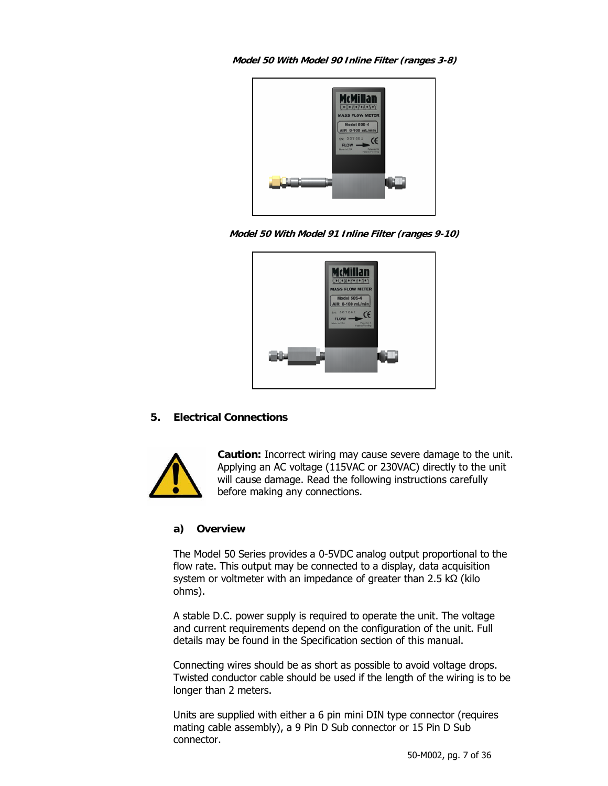**Model 50 With Model 90 Inline Filter (ranges 3-8)** 



**Model 50 With Model 91 Inline Filter (ranges 9-10)** 



## **5. Electrical Connections**



**Caution:** Incorrect wiring may cause severe damage to the unit. Applying an AC voltage (115VAC or 230VAC) directly to the unit will cause damage. Read the following instructions carefully before making any connections.

## **a) Overview**

The Model 50 Series provides a 0-5VDC analog output proportional to the flow rate. This output may be connected to a display, data acquisition system or voltmeter with an impedance of greater than 2.5 kΩ (kilo ohms).

A stable D.C. power supply is required to operate the unit. The voltage and current requirements depend on the configuration of the unit. Full details may be found in the Specification section of this manual.

Connecting wires should be as short as possible to avoid voltage drops. Twisted conductor cable should be used if the length of the wiring is to be longer than 2 meters.

Units are supplied with either a 6 pin mini DIN type connector (requires mating cable assembly), a 9 Pin D Sub connector or 15 Pin D Sub connector.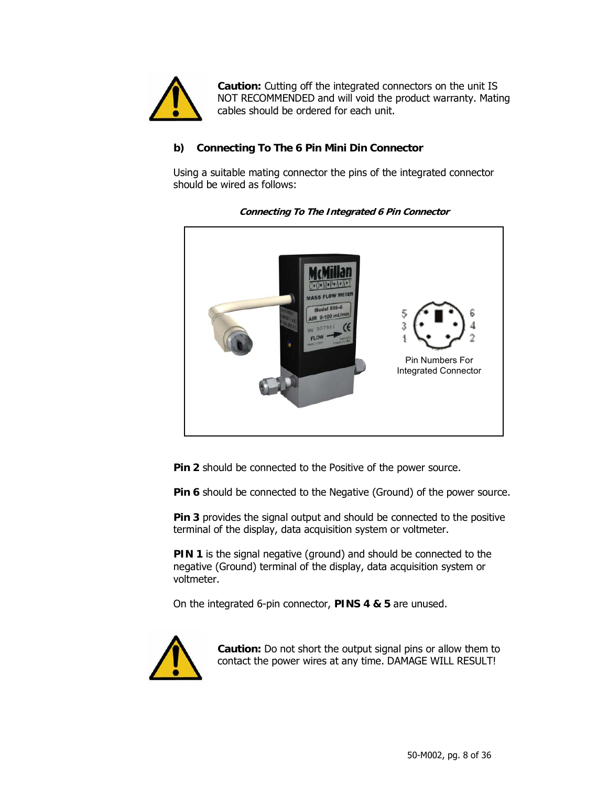

**Caution:** Cutting off the integrated connectors on the unit IS NOT RECOMMENDED and will void the product warranty. Mating cables should be ordered for each unit.

## **b) Connecting To The 6 Pin Mini Din Connector**

Using a suitable mating connector the pins of the integrated connector should be wired as follows:



**Connecting To The Integrated 6 Pin Connector** 

**Pin 2** should be connected to the Positive of the power source.

**Pin 6** should be connected to the Negative (Ground) of the power source.

**Pin 3** provides the signal output and should be connected to the positive terminal of the display, data acquisition system or voltmeter.

**PIN 1** is the signal negative (ground) and should be connected to the negative (Ground) terminal of the display, data acquisition system or voltmeter.

On the integrated 6-pin connector, **PINS 4 & 5** are unused.



**Caution:** Do not short the output signal pins or allow them to contact the power wires at any time. DAMAGE WILL RESULT!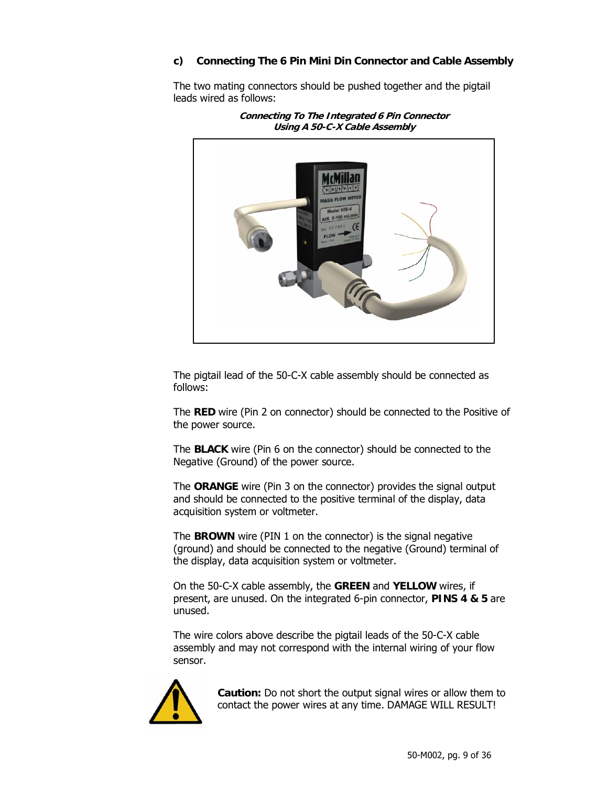## **c) Connecting The 6 Pin Mini Din Connector and Cable Assembly**

The two mating connectors should be pushed together and the pigtail leads wired as follows:



**Connecting To The Integrated 6 Pin Connector Using A 50-C-X Cable Assembly** 

The pigtail lead of the 50-C-X cable assembly should be connected as follows:

The **RED** wire (Pin 2 on connector) should be connected to the Positive of the power source.

The **BLACK** wire (Pin 6 on the connector) should be connected to the Negative (Ground) of the power source.

The **ORANGE** wire (Pin 3 on the connector) provides the signal output and should be connected to the positive terminal of the display, data acquisition system or voltmeter.

The **BROWN** wire (PIN 1 on the connector) is the signal negative (ground) and should be connected to the negative (Ground) terminal of the display, data acquisition system or voltmeter.

On the 50-C-X cable assembly, the **GREEN** and **YELLOW** wires, if present, are unused. On the integrated 6-pin connector, **PINS 4 & 5** are unused.

The wire colors above describe the pigtail leads of the 50-C-X cable assembly and may not correspond with the internal wiring of your flow sensor.



**Caution:** Do not short the output signal wires or allow them to contact the power wires at any time. DAMAGE WILL RESULT!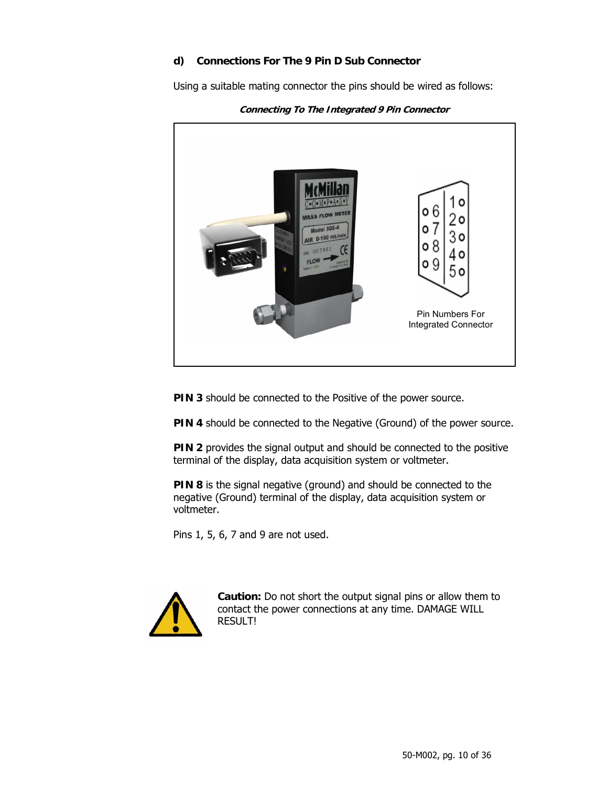## **d) Connections For The 9 Pin D Sub Connector**

Using a suitable mating connector the pins should be wired as follows:



**Connecting To The Integrated 9 Pin Connector** 

**PIN 3** should be connected to the Positive of the power source.

**PIN 4** should be connected to the Negative (Ground) of the power source.

**PIN 2** provides the signal output and should be connected to the positive terminal of the display, data acquisition system or voltmeter.

**PIN 8** is the signal negative (ground) and should be connected to the negative (Ground) terminal of the display, data acquisition system or voltmeter.

Pins 1, 5, 6, 7 and 9 are not used.



**Caution:** Do not short the output signal pins or allow them to contact the power connections at any time. DAMAGE WILL RESULT!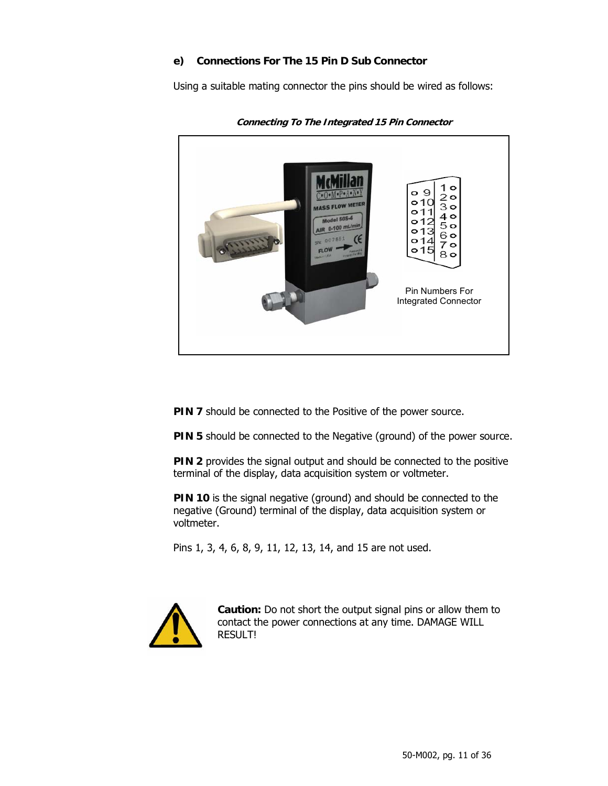## **e) Connections For The 15 Pin D Sub Connector**

Using a suitable mating connector the pins should be wired as follows:



**Connecting To The Integrated 15 Pin Connector** 

**PIN 7** should be connected to the Positive of the power source.

**PIN 5** should be connected to the Negative (ground) of the power source.

**PIN 2** provides the signal output and should be connected to the positive terminal of the display, data acquisition system or voltmeter.

**PIN 10** is the signal negative (ground) and should be connected to the negative (Ground) terminal of the display, data acquisition system or voltmeter.

Pins 1, 3, 4, 6, 8, 9, 11, 12, 13, 14, and 15 are not used.



**Caution:** Do not short the output signal pins or allow them to contact the power connections at any time. DAMAGE WILL RESULT!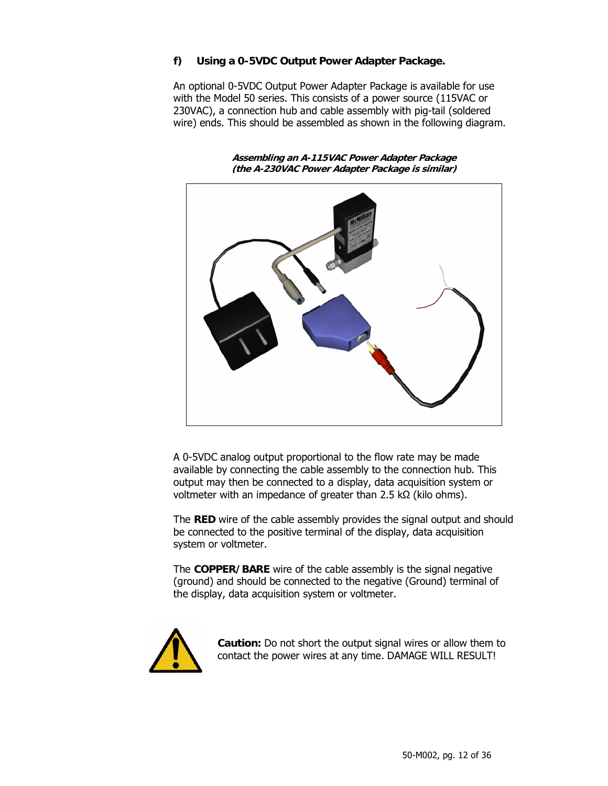## **f) Using a 0-5VDC Output Power Adapter Package.**

An optional 0-5VDC Output Power Adapter Package is available for use with the Model 50 series. This consists of a power source (115VAC or 230VAC), a connection hub and cable assembly with pig-tail (soldered wire) ends. This should be assembled as shown in the following diagram.

**Assembling an A-115VAC Power Adapter Package (the A-230VAC Power Adapter Package is similar)** 



A 0-5VDC analog output proportional to the flow rate may be made available by connecting the cable assembly to the connection hub. This output may then be connected to a display, data acquisition system or voltmeter with an impedance of greater than 2.5 kΩ (kilo ohms).

The **RED** wire of the cable assembly provides the signal output and should be connected to the positive terminal of the display, data acquisition system or voltmeter.

The **COPPER/BARE** wire of the cable assembly is the signal negative (ground) and should be connected to the negative (Ground) terminal of the display, data acquisition system or voltmeter.



**Caution:** Do not short the output signal wires or allow them to contact the power wires at any time. DAMAGE WILL RESULT!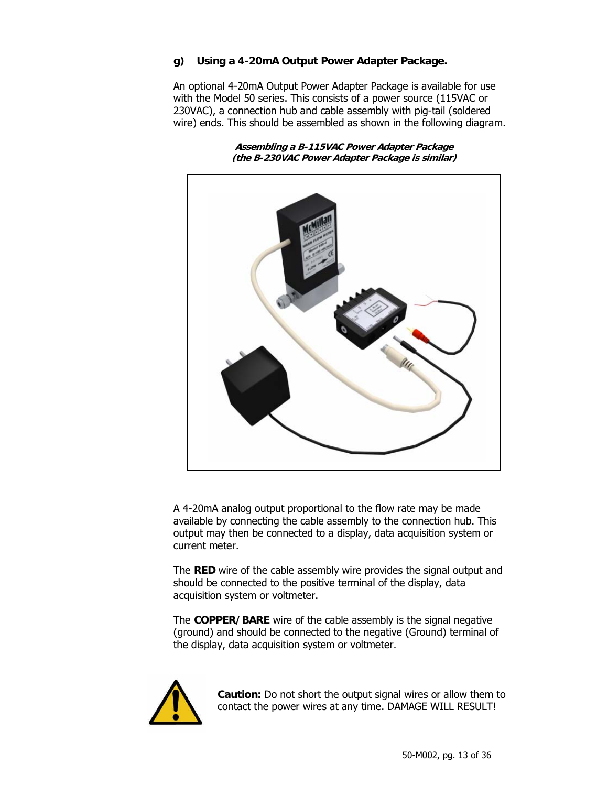## **g) Using a 4-20mA Output Power Adapter Package.**

An optional 4-20mA Output Power Adapter Package is available for use with the Model 50 series. This consists of a power source (115VAC or 230VAC), a connection hub and cable assembly with pig-tail (soldered wire) ends. This should be assembled as shown in the following diagram.

**Assembling a B-115VAC Power Adapter Package (the B-230VAC Power Adapter Package is similar)** 



A 4-20mA analog output proportional to the flow rate may be made available by connecting the cable assembly to the connection hub. This output may then be connected to a display, data acquisition system or current meter.

The **RED** wire of the cable assembly wire provides the signal output and should be connected to the positive terminal of the display, data acquisition system or voltmeter.

The **COPPER/BARE** wire of the cable assembly is the signal negative (ground) and should be connected to the negative (Ground) terminal of the display, data acquisition system or voltmeter.



**Caution:** Do not short the output signal wires or allow them to contact the power wires at any time. DAMAGE WILL RESULT!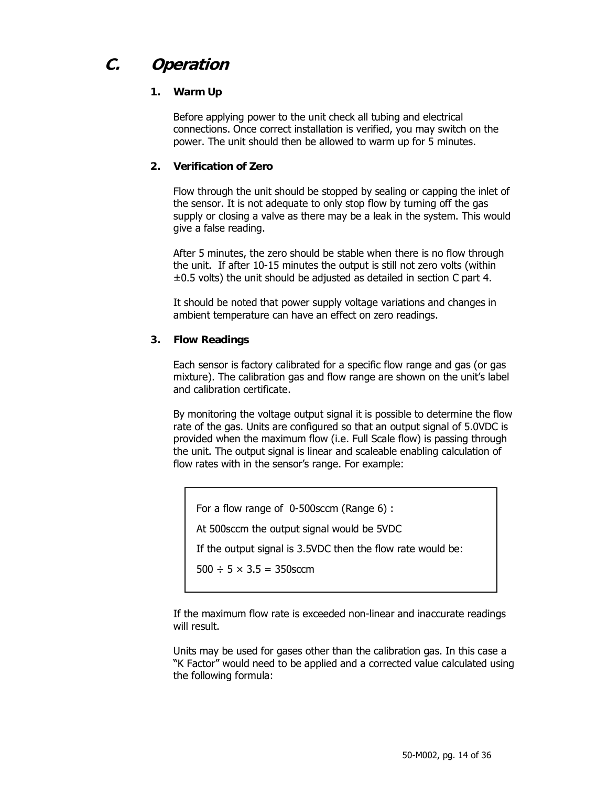## **C. Operation**

## **1. Warm Up**

Before applying power to the unit check all tubing and electrical connections. Once correct installation is verified, you may switch on the power. The unit should then be allowed to warm up for 5 minutes.

## **2. Verification of Zero**

Flow through the unit should be stopped by sealing or capping the inlet of the sensor. It is not adequate to only stop flow by turning off the gas supply or closing a valve as there may be a leak in the system. This would give a false reading.

After 5 minutes, the zero should be stable when there is no flow through the unit. If after 10-15 minutes the output is still not zero volts (within  $\pm 0.5$  volts) the unit should be adjusted as detailed in section C part 4.

It should be noted that power supply voltage variations and changes in ambient temperature can have an effect on zero readings.

## **3. Flow Readings**

Each sensor is factory calibrated for a specific flow range and gas (or gas mixture). The calibration gas and flow range are shown on the unit's label and calibration certificate.

By monitoring the voltage output signal it is possible to determine the flow rate of the gas. Units are configured so that an output signal of 5.0VDC is provided when the maximum flow (i.e. Full Scale flow) is passing through the unit. The output signal is linear and scaleable enabling calculation of flow rates with in the sensor's range. For example:

For a flow range of 0-500sccm (Range 6) :

At 500sccm the output signal would be 5VDC

If the output signal is 3.5VDC then the flow rate would be:

 $500 \div 5 \times 3.5 = 350$ sccm

If the maximum flow rate is exceeded non-linear and inaccurate readings will result.

Units may be used for gases other than the calibration gas. In this case a "K Factor" would need to be applied and a corrected value calculated using the following formula: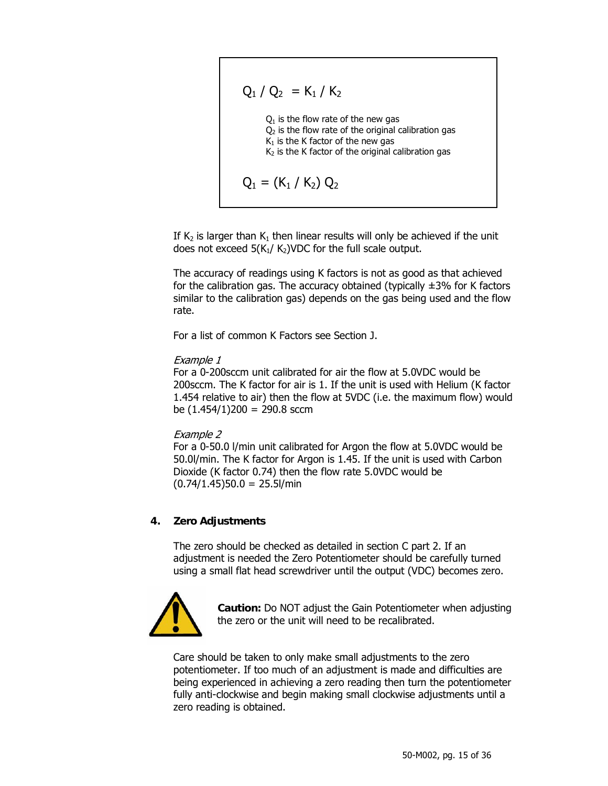$$
Q_1 / Q_2 = K_1 / K_2
$$
  
Q<sub>1</sub> is the flow rate of the new gas  
Q<sub>2</sub> is the flow rate of the original calibration gas  
K<sub>1</sub> is the K factor of the new gas  
K<sub>2</sub> is the K factor of the original calibration gas  

$$
Q_1 = (K_1 / K_2) Q_2
$$

If K<sub>2</sub> is larger than K<sub>1</sub> then linear results will only be achieved if the unit does not exceed  $5(K_1/K_2)$ VDC for the full scale output.

The accuracy of readings using K factors is not as good as that achieved for the calibration gas. The accuracy obtained (typically  $\pm$ 3% for K factors similar to the calibration gas) depends on the gas being used and the flow rate.

For a list of common K Factors see Section J.

## Example 1

For a 0-200sccm unit calibrated for air the flow at 5.0VDC would be 200sccm. The K factor for air is 1. If the unit is used with Helium (K factor 1.454 relative to air) then the flow at 5VDC (i.e. the maximum flow) would be  $(1.454/1)200 = 290.8$  sccm

## Example 2

For a 0-50.0 l/min unit calibrated for Argon the flow at 5.0VDC would be 50.0l/min. The K factor for Argon is 1.45. If the unit is used with Carbon Dioxide (K factor 0.74) then the flow rate 5.0VDC would be  $(0.74/1.45)50.0 = 25.5$ l/min

## **4. Zero Adjustments**

The zero should be checked as detailed in section C part 2. If an adjustment is needed the Zero Potentiometer should be carefully turned using a small flat head screwdriver until the output (VDC) becomes zero.



**Caution:** Do NOT adjust the Gain Potentiometer when adjusting the zero or the unit will need to be recalibrated.

Care should be taken to only make small adjustments to the zero potentiometer. If too much of an adjustment is made and difficulties are being experienced in achieving a zero reading then turn the potentiometer fully anti-clockwise and begin making small clockwise adjustments until a zero reading is obtained.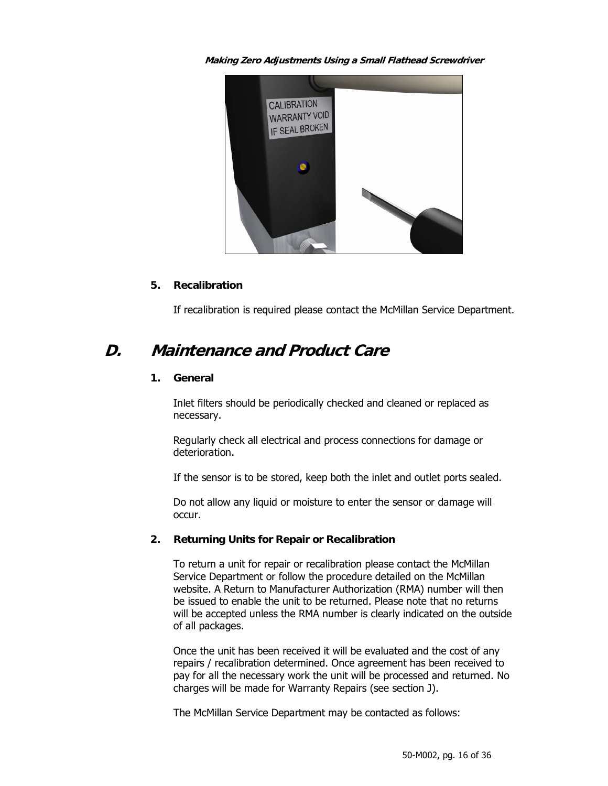**Making Zero Adjustments Using a Small Flathead Screwdriver** 



## **5. Recalibration**

If recalibration is required please contact the McMillan Service Department.

## **D. Maintenance and Product Care**

## **1. General**

Inlet filters should be periodically checked and cleaned or replaced as necessary.

Regularly check all electrical and process connections for damage or deterioration.

If the sensor is to be stored, keep both the inlet and outlet ports sealed.

Do not allow any liquid or moisture to enter the sensor or damage will occur.

## **2. Returning Units for Repair or Recalibration**

To return a unit for repair or recalibration please contact the McMillan Service Department or follow the procedure detailed on the McMillan website. A Return to Manufacturer Authorization (RMA) number will then be issued to enable the unit to be returned. Please note that no returns will be accepted unless the RMA number is clearly indicated on the outside of all packages.

Once the unit has been received it will be evaluated and the cost of any repairs / recalibration determined. Once agreement has been received to pay for all the necessary work the unit will be processed and returned. No charges will be made for Warranty Repairs (see section J).

The McMillan Service Department may be contacted as follows: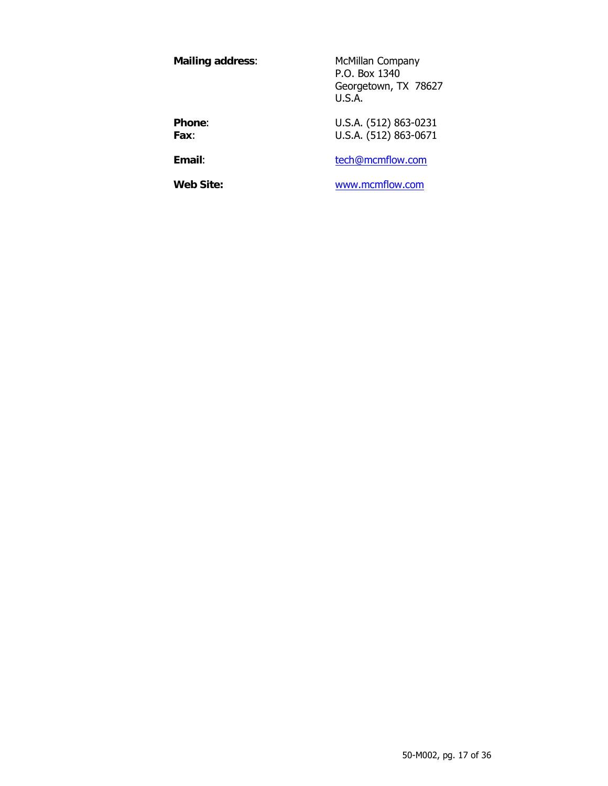**Mailing address:** McMillan Company P.O. Box 1340 Georgetown, TX 78627 U.S.A. **Phone:** U.S.A. (512) 863-0231

**Fax**: U.S.A. (512) 863-0671

**Email:** the state of the state of the state of the state of the state of the state of the state of the state of the state of the state of the state of the state of the state of the state of the state of the state of the s

**Web Site:** www.mcmflow.com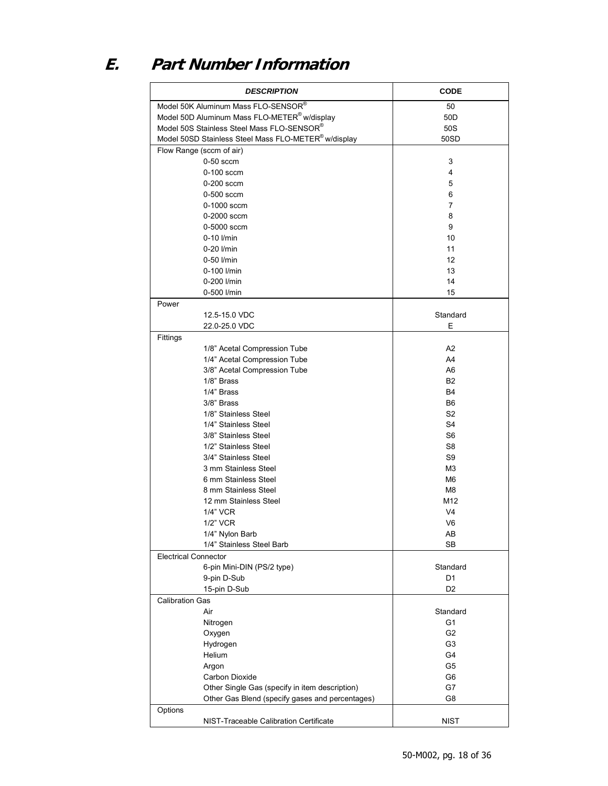# **E. Part Number Information**

| <b>DESCRIPTION</b>                                       | <b>CODE</b>    |
|----------------------------------------------------------|----------------|
| Model 50K Aluminum Mass FLO-SENSOR®                      | 50             |
| Model 50D Aluminum Mass FLO-METER <sup>®</sup> w/display | 50D            |
| Model 50S Stainless Steel Mass FLO-SENSOR®               | 50S            |
| Model 50SD Stainless Steel Mass FLO-METER® w/display     | 50SD           |
| Flow Range (sccm of air)                                 |                |
| $0-50$ sccm                                              | 3              |
| $0-100$ sccm                                             | 4              |
| 0-200 sccm                                               | 5              |
| 0-500 sccm                                               | 6              |
| 0-1000 sccm                                              | $\overline{7}$ |
| 0-2000 sccm                                              | 8              |
| $0-5000$ sccm                                            | 9              |
| 0-10 l/min                                               | 10             |
| 0-20 l/min                                               | 11             |
|                                                          | 12             |
| 0-50 l/min                                               |                |
| 0-100 l/min                                              | 13             |
| 0-200 l/min                                              | 14             |
| 0-500 l/min                                              | 15             |
| Power                                                    |                |
| 12.5-15.0 VDC                                            | Standard       |
| 22.0-25.0 VDC                                            | Е              |
| Fittings                                                 |                |
| 1/8" Acetal Compression Tube                             | A <sub>2</sub> |
| 1/4" Acetal Compression Tube                             | A4             |
| 3/8" Acetal Compression Tube                             | A6             |
| 1/8" Brass                                               | B <sub>2</sub> |
| 1/4" Brass                                               | B <sub>4</sub> |
| 3/8" Brass                                               | B <sub>6</sub> |
| 1/8" Stainless Steel                                     | S <sub>2</sub> |
| 1/4" Stainless Steel                                     | S <sub>4</sub> |
| 3/8" Stainless Steel                                     | S <sub>6</sub> |
| 1/2" Stainless Steel                                     | S <sub>8</sub> |
| 3/4" Stainless Steel                                     | S9             |
| 3 mm Stainless Steel                                     | M3             |
| 6 mm Stainless Steel                                     | M6             |
| 8 mm Stainless Steel                                     | M8             |
| 12 mm Stainless Steel                                    | M12            |
| 1/4" VCR                                                 | V <sub>4</sub> |
| 1/2" VCR                                                 | V <sub>6</sub> |
| 1/4" Nylon Barb                                          | AB             |
| 1/4" Stainless Steel Barb                                | SB             |
| <b>Electrical Connector</b>                              |                |
| 6-pin Mini-DIN (PS/2 type)                               | Standard       |
| 9-pin D-Sub                                              | D <sub>1</sub> |
| 15-pin D-Sub                                             | D <sub>2</sub> |
| <b>Calibration Gas</b>                                   |                |
| Air                                                      | Standard       |
| Nitrogen                                                 | G1             |
| Oxygen                                                   | G <sub>2</sub> |
| Hydrogen                                                 | G <sub>3</sub> |
| Helium                                                   | G4             |
| Argon                                                    | G <sub>5</sub> |
| Carbon Dioxide                                           | G <sub>6</sub> |
| Other Single Gas (specify in item description)           | G7             |
| Other Gas Blend (specify gases and percentages)          | G8             |
| Options                                                  |                |
| NIST-Traceable Calibration Certificate                   | <b>NIST</b>    |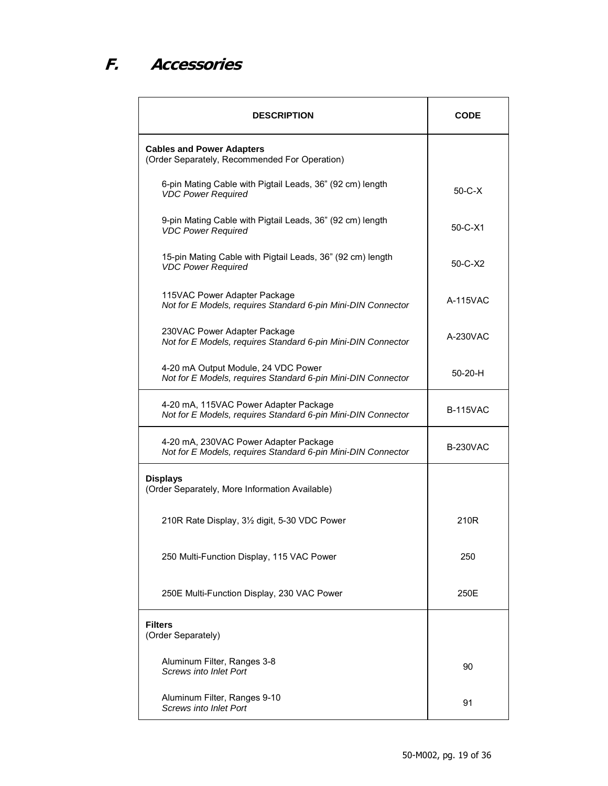# **F. Accessories**

| <b>DESCRIPTION</b>                                                                                    | CODE            |
|-------------------------------------------------------------------------------------------------------|-----------------|
| <b>Cables and Power Adapters</b><br>(Order Separately, Recommended For Operation)                     |                 |
| 6-pin Mating Cable with Pigtail Leads, 36" (92 cm) length<br><b>VDC Power Required</b>                | $50 - C - X$    |
| 9-pin Mating Cable with Pigtail Leads, 36" (92 cm) length<br><b>VDC Power Required</b>                | $50 - C - X1$   |
| 15-pin Mating Cable with Pigtail Leads, 36" (92 cm) length<br><b>VDC Power Required</b>               | $50-C-X2$       |
| 115VAC Power Adapter Package<br>Not for E Models, requires Standard 6-pin Mini-DIN Connector          | A-115VAC        |
| 230VAC Power Adapter Package<br>Not for E Models, requires Standard 6-pin Mini-DIN Connector          | A-230VAC        |
| 4-20 mA Output Module, 24 VDC Power<br>Not for E Models, requires Standard 6-pin Mini-DIN Connector   | $50-20-H$       |
| 4-20 mA, 115VAC Power Adapter Package<br>Not for E Models, requires Standard 6-pin Mini-DIN Connector | <b>B-115VAC</b> |
| 4-20 mA, 230VAC Power Adapter Package<br>Not for E Models, requires Standard 6-pin Mini-DIN Connector | <b>B-230VAC</b> |
| <b>Displays</b><br>(Order Separately, More Information Available)                                     |                 |
| 210R Rate Display, 31/2 digit, 5-30 VDC Power                                                         | 210R            |
| 250 Multi-Function Display, 115 VAC Power                                                             | 250             |
| 250E Multi-Function Display, 230 VAC Power                                                            | 250E            |
| <b>Filters</b><br>(Order Separately)                                                                  |                 |
| Aluminum Filter, Ranges 3-8<br><b>Screws into Inlet Port</b>                                          | 90              |
| Aluminum Filter, Ranges 9-10<br><b>Screws into Inlet Port</b>                                         | 91              |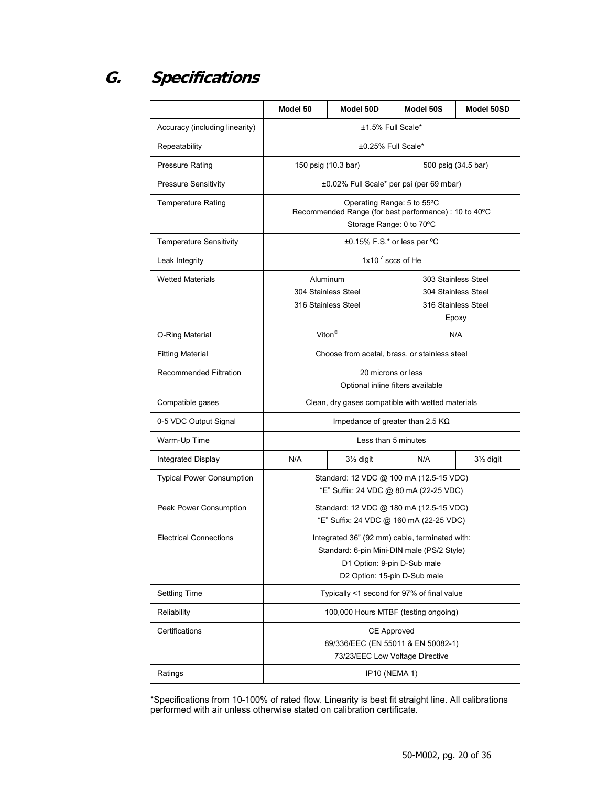## **G. Specifications**

|                                  | Model 50                                                                                                                                                    | Model 50D                            | Model 50S                                                                  | Model 50SD             |
|----------------------------------|-------------------------------------------------------------------------------------------------------------------------------------------------------------|--------------------------------------|----------------------------------------------------------------------------|------------------------|
| Accuracy (including linearity)   |                                                                                                                                                             | ±1.5% Full Scale*                    |                                                                            |                        |
| Repeatability                    | ±0.25% Full Scale*                                                                                                                                          |                                      |                                                                            |                        |
| <b>Pressure Rating</b>           | 150 psig (10.3 bar)                                                                                                                                         |                                      | 500 psig (34.5 bar)                                                        |                        |
| <b>Pressure Sensitivity</b>      | ±0.02% Full Scale* per psi (per 69 mbar)                                                                                                                    |                                      |                                                                            |                        |
| <b>Temperature Rating</b>        | Operating Range: 5 to 55°C<br>Recommended Range (for best performance) : 10 to 40°C<br>Storage Range: 0 to 70°C                                             |                                      |                                                                            |                        |
| <b>Temperature Sensitivity</b>   | ±0.15% F.S.* or less per °C                                                                                                                                 |                                      |                                                                            |                        |
| Leak Integrity                   | $1x10^{-7}$ sccs of He                                                                                                                                      |                                      |                                                                            |                        |
| <b>Wetted Materials</b>          | Aluminum<br>304 Stainless Steel<br>316 Stainless Steel                                                                                                      |                                      | 303 Stainless Steel<br>304 Stainless Steel<br>316 Stainless Steel<br>Epoxy |                        |
| O-Ring Material                  | Viton <sup>®</sup>                                                                                                                                          |                                      | N/A                                                                        |                        |
| <b>Fitting Material</b>          | Choose from acetal, brass, or stainless steel                                                                                                               |                                      |                                                                            |                        |
| <b>Recommended Filtration</b>    | 20 microns or less<br>Optional inline filters available                                                                                                     |                                      |                                                                            |                        |
| Compatible gases                 | Clean, dry gases compatible with wetted materials                                                                                                           |                                      |                                                                            |                        |
| 0-5 VDC Output Signal            | Impedance of greater than 2.5 $K\Omega$                                                                                                                     |                                      |                                                                            |                        |
| Warm-Up Time                     |                                                                                                                                                             |                                      | Less than 5 minutes                                                        |                        |
| Integrated Display               | N/A                                                                                                                                                         | $3\frac{1}{2}$ digit                 | N/A                                                                        | 31/ <sub>2</sub> digit |
| <b>Typical Power Consumption</b> | Standard: 12 VDC @ 100 mA (12.5-15 VDC)<br>"E" Suffix: 24 VDC @ 80 mA (22-25 VDC)                                                                           |                                      |                                                                            |                        |
| Peak Power Consumption           | Standard: 12 VDC @ 180 mA (12.5-15 VDC)<br>"E" Suffix: 24 VDC @ 160 mA (22-25 VDC)                                                                          |                                      |                                                                            |                        |
| <b>Electrical Connections</b>    | Integrated 36" (92 mm) cable, terminated with:<br>Standard: 6-pin Mini-DIN male (PS/2 Style)<br>D1 Option: 9-pin D-Sub male<br>D2 Option: 15-pin D-Sub male |                                      |                                                                            |                        |
| <b>Settling Time</b>             | Typically <1 second for 97% of final value                                                                                                                  |                                      |                                                                            |                        |
| Reliability                      |                                                                                                                                                             | 100,000 Hours MTBF (testing ongoing) |                                                                            |                        |
| Certifications                   | <b>CE Approved</b><br>89/336/EEC (EN 55011 & EN 50082-1)<br>73/23/EEC Low Voltage Directive                                                                 |                                      |                                                                            |                        |
| Ratings                          | <b>IP10 (NEMA 1)</b>                                                                                                                                        |                                      |                                                                            |                        |

\*Specifications from 10-100% of rated flow. Linearity is best fit straight line. All calibrations performed with air unless otherwise stated on calibration certificate.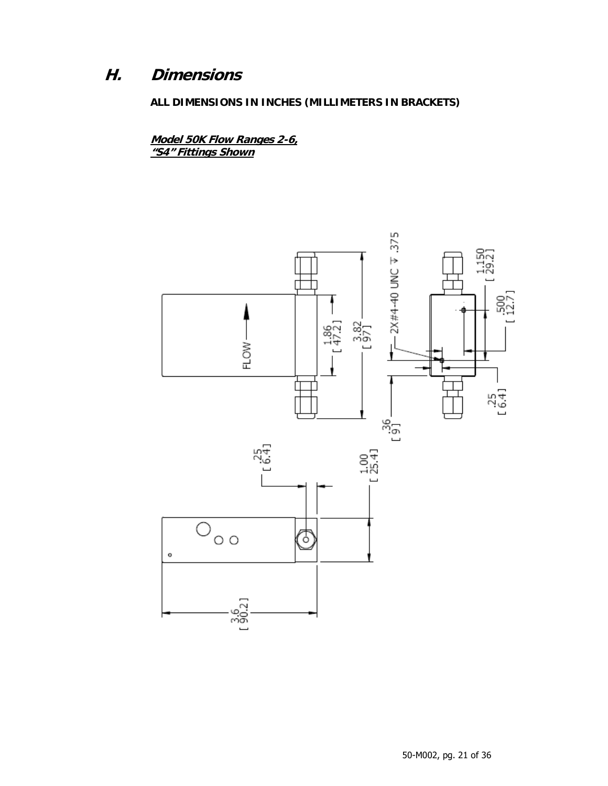## **H. Dimensions**

**ALL DIMENSIONS IN INCHES (MILLIMETERS IN BRACKETS)** 

**Model 50K Flow Ranges 2-6, "S4" Fittings Shown**

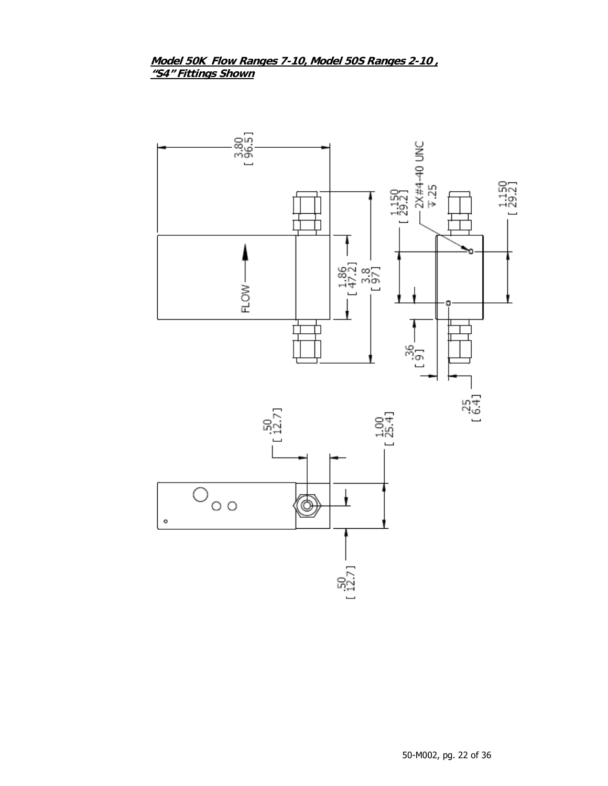## Model 50K Flow Ranges 7-10, Model 50S Ranges 2-10, "S4" Fittings Shown

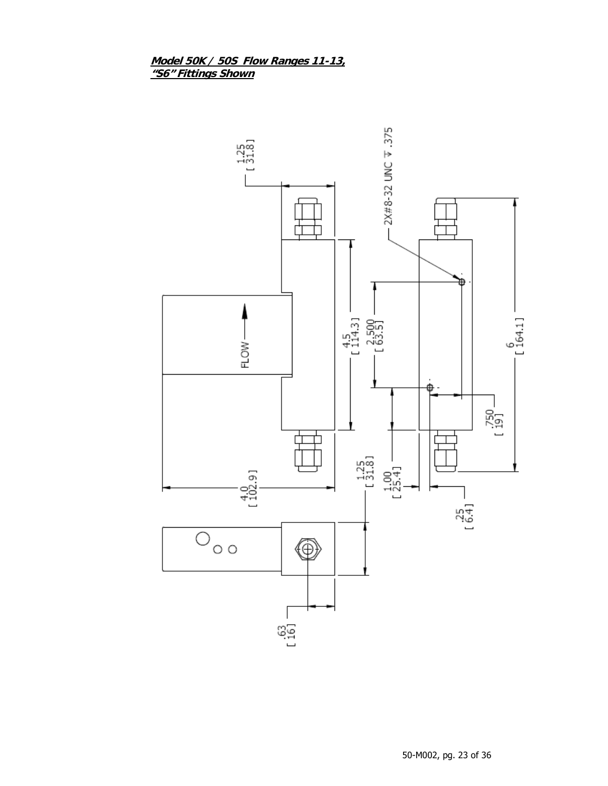# Model 50K / 50S Flow Ranges 11-13,<br>"S6" Fittings Shown

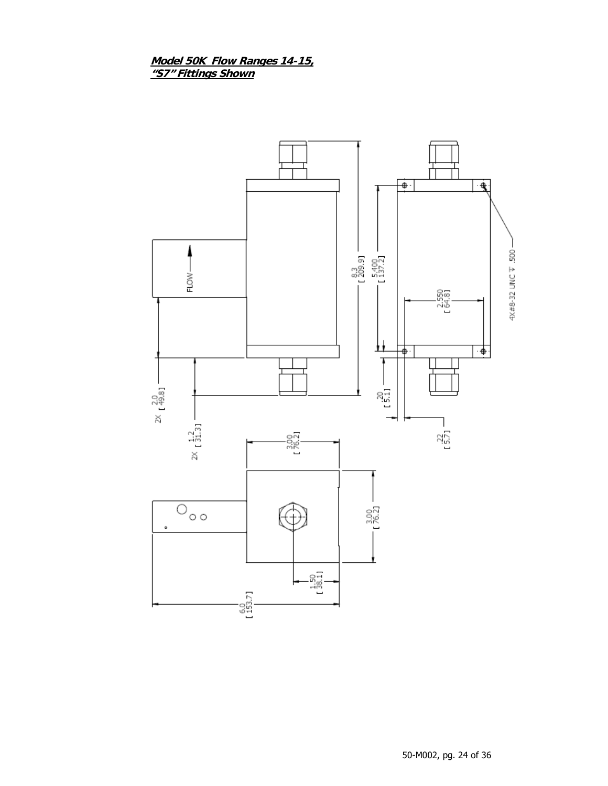# Model 50K Flow Ranges 14-15,<br>"S7" Fittings Shown

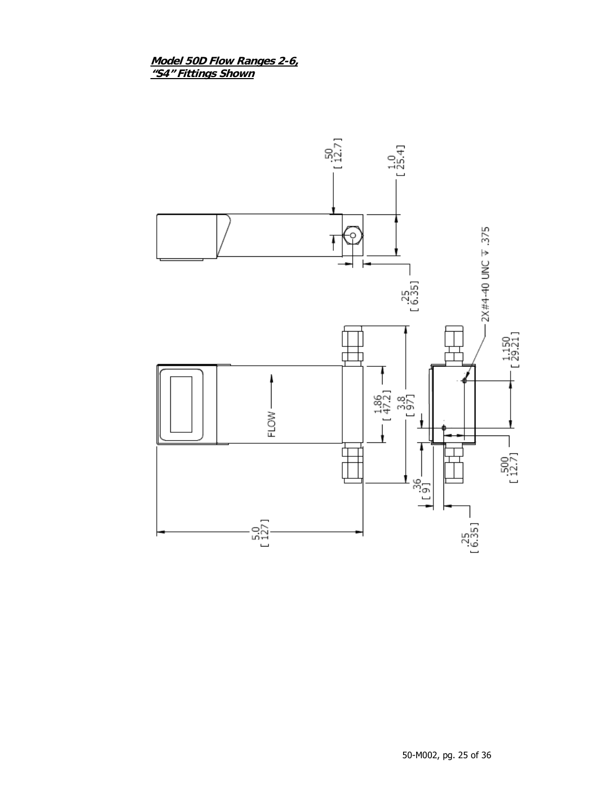# Model 50D Flow Ranges 2-6,<br>"S4" Fittings Shown

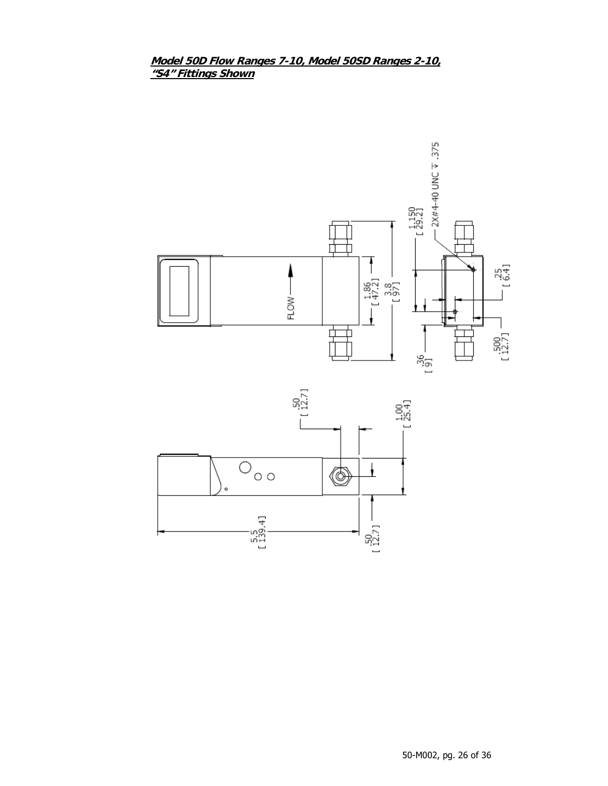## Model 50D Flow Ranges 7-10, Model 50SD Ranges 2-10, "S4" Fittings Shown



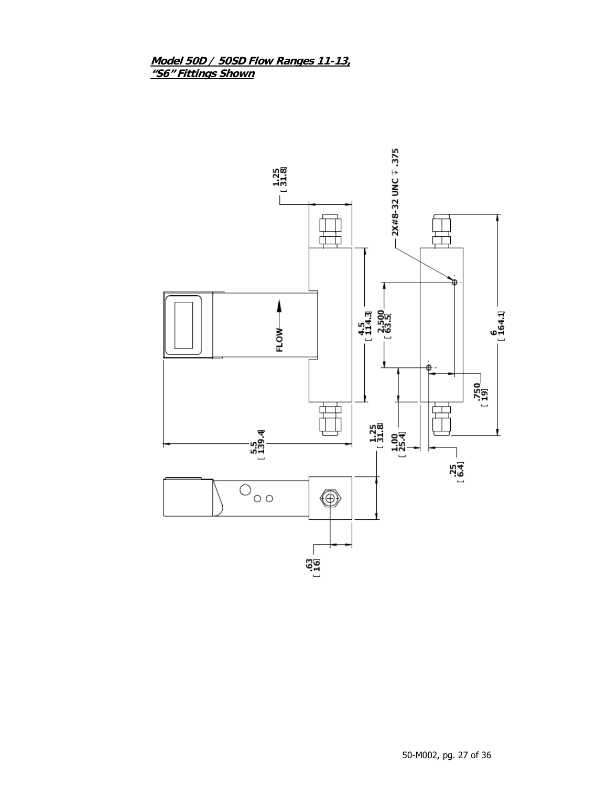# Model 50D / 50SD Flow Ranges 11-13,<br>"S6" Fittings Shown

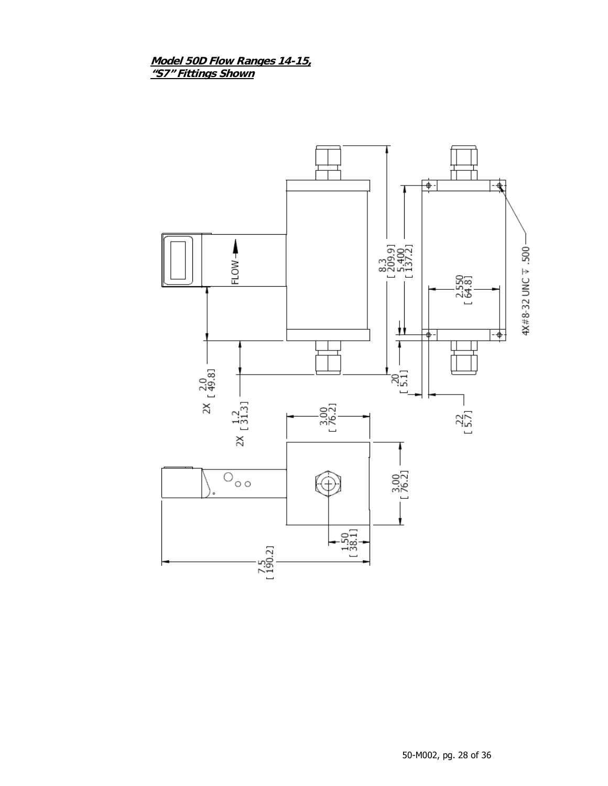Model 50D Flow Ranges 14-15,<br>"S7" Fittings Shown

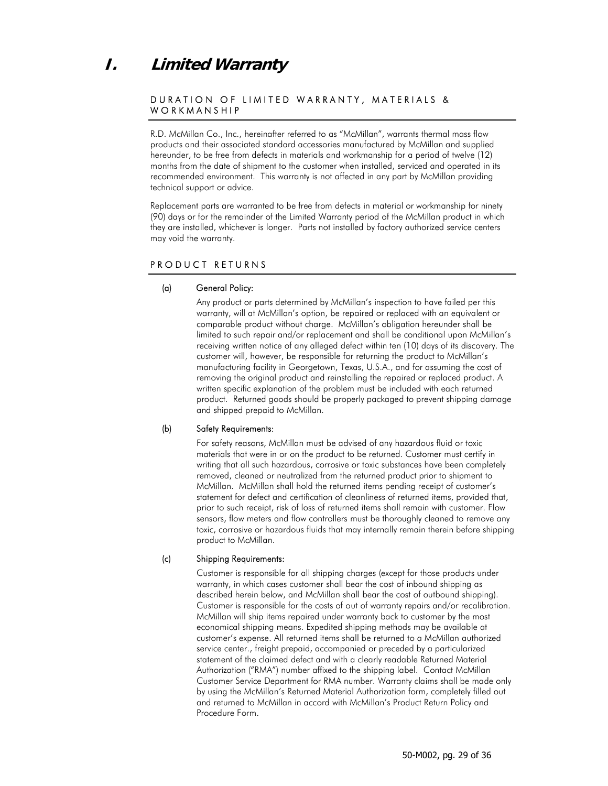## **I. Limited Warranty**

### DURATION OF LIMITED WARRANTY, MATERIALS & WORKMANSHIP

R.D. McMillan Co., Inc., hereinafter referred to as "McMillan", warrants thermal mass flow products and their associated standard accessories manufactured by McMillan and supplied hereunder, to be free from defects in materials and workmanship for a period of twelve (12) months from the date of shipment to the customer when installed, serviced and operated in its recommended environment. This warranty is not affected in any part by McMillan providing technical support or advice.

Replacement parts are warranted to be free from defects in material or workmanship for ninety (90) days or for the remainder of the Limited Warranty period of the McMillan product in which they are installed, whichever is longer. Parts not installed by factory authorized service centers may void the warranty.

### PRODUCT RETURNS

#### (a) General Policy:

Any product or parts determined by McMillan's inspection to have failed per this warranty, will at McMillan's option, be repaired or replaced with an equivalent or comparable product without charge. McMillan's obligation hereunder shall be limited to such repair and/or replacement and shall be conditional upon McMillan's receiving written notice of any alleged defect within ten (10) days of its discovery. The customer will, however, be responsible for returning the product to McMillan's manufacturing facility in Georgetown, Texas, U.S.A., and for assuming the cost of removing the original product and reinstalling the repaired or replaced product. A written specific explanation of the problem must be included with each returned product. Returned goods should be properly packaged to prevent shipping damage and shipped prepaid to McMillan.

#### (b) Safety Requirements:

For safety reasons, McMillan must be advised of any hazardous fluid or toxic materials that were in or on the product to be returned. Customer must certify in writing that all such hazardous, corrosive or toxic substances have been completely removed, cleaned or neutralized from the returned product prior to shipment to McMillan. McMillan shall hold the returned items pending receipt of customer's statement for defect and certification of cleanliness of returned items, provided that, prior to such receipt, risk of loss of returned items shall remain with customer. Flow sensors, flow meters and flow controllers must be thoroughly cleaned to remove any toxic, corrosive or hazardous fluids that may internally remain therein before shipping product to McMillan.

#### (c) Shipping Requirements:

Customer is responsible for all shipping charges (except for those products under warranty, in which cases customer shall bear the cost of inbound shipping as described herein below, and McMillan shall bear the cost of outbound shipping). Customer is responsible for the costs of out of warranty repairs and/or recalibration. McMillan will ship items repaired under warranty back to customer by the most economical shipping means. Expedited shipping methods may be available at customer's expense. All returned items shall be returned to a McMillan authorized service center., freight prepaid, accompanied or preceded by a particularized statement of the claimed defect and with a clearly readable Returned Material Authorization ("RMA") number affixed to the shipping label. Contact McMillan Customer Service Department for RMA number. Warranty claims shall be made only by using the McMillan's Returned Material Authorization form, completely filled out and returned to McMillan in accord with McMillan's Product Return Policy and Procedure Form.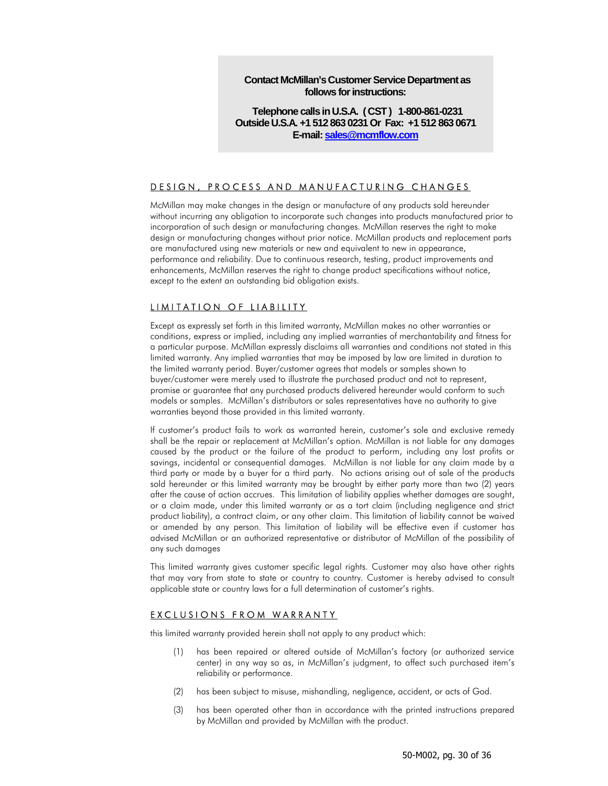**Contact McMillan's Customer Service Department as follows for instructions:** 

**Telephone calls in U.S.A. ( CST ) 1-800-861-0231 Outside U.S.A. +1 512 863 0231 Or Fax: +1 512 863 0671 E-mail: sales@mcmflow.com**

### DESIGN, PROCESS AND MANUFACTURING CHANGES

McMillan may make changes in the design or manufacture of any products sold hereunder without incurring any obligation to incorporate such changes into products manufactured prior to incorporation of such design or manufacturing changes. McMillan reserves the right to make design or manufacturing changes without prior notice. McMillan products and replacement parts are manufactured using new materials or new and equivalent to new in appearance, performance and reliability. Due to continuous research, testing, product improvements and enhancements, McMillan reserves the right to change product specifications without notice, except to the extent an outstanding bid obligation exists.

### LIMITATION OF LIABILITY

Except as expressly set forth in this limited warranty, McMillan makes no other warranties or conditions, express or implied, including any implied warranties of merchantability and fitness for a particular purpose. McMillan expressly disclaims all warranties and conditions not stated in this limited warranty. Any implied warranties that may be imposed by law are limited in duration to the limited warranty period. Buyer/customer agrees that models or samples shown to buyer/customer were merely used to illustrate the purchased product and not to represent, promise or guarantee that any purchased products delivered hereunder would conform to such models or samples. McMillan's distributors or sales representatives have no authority to give warranties beyond those provided in this limited warranty.

If customer's product fails to work as warranted herein, customer's sole and exclusive remedy shall be the repair or replacement at McMillan's option. McMillan is not liable for any damages caused by the product or the failure of the product to perform, including any lost profits or savings, incidental or consequential damages. McMillan is not liable for any claim made by a third party or made by a buyer for a third party. No actions arising out of sale of the products sold hereunder or this limited warranty may be brought by either party more than two (2) years after the cause of action accrues. This limitation of liability applies whether damages are sought, or a claim made, under this limited warranty or as a tort claim (including negligence and strict product liability), a contract claim, or any other claim. This limitation of liability cannot be waived or amended by any person. This limitation of liability will be effective even if customer has advised McMillan or an authorized representative or distributor of McMillan of the possibility of any such damages

This limited warranty gives customer specific legal rights. Customer may also have other rights that may vary from state to state or country to country. Customer is hereby advised to consult applicable state or country laws for a full determination of customer's rights.

#### EXCLUSIONS FROM WARRANTY

this limited warranty provided herein shall not apply to any product which:

- (1) has been repaired or altered outside of McMillan's factory (or authorized service center) in any way so as, in McMillan's judgment, to affect such purchased item's reliability or performance.
- (2) has been subject to misuse, mishandling, negligence, accident, or acts of God.
- (3) has been operated other than in accordance with the printed instructions prepared by McMillan and provided by McMillan with the product.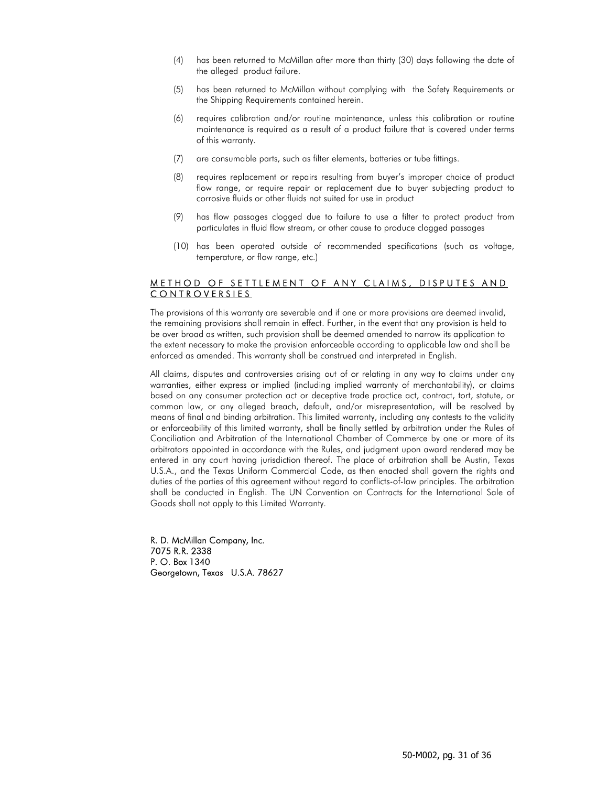- (4) has been returned to McMillan after more than thirty (30) days following the date of the alleged product failure.
- (5) has been returned to McMillan without complying with the Safety Requirements or the Shipping Requirements contained herein.
- (6) requires calibration and/or routine maintenance, unless this calibration or routine maintenance is required as a result of a product failure that is covered under terms of this warranty.
- (7) are consumable parts, such as filter elements, batteries or tube fittings.
- (8) requires replacement or repairs resulting from buyer's improper choice of product flow range, or require repair or replacement due to buyer subjecting product to corrosive fluids or other fluids not suited for use in product
- (9) has flow passages clogged due to failure to use a filter to protect product from particulates in fluid flow stream, or other cause to produce clogged passages
- (10) has been operated outside of recommended specifications (such as voltage, temperature, or flow range, etc.)

### METHOD OF SETTLEMENT OF ANY CLAIMS, DISPUTES AND CONTROVERSIES

The provisions of this warranty are severable and if one or more provisions are deemed invalid, the remaining provisions shall remain in effect. Further, in the event that any provision is held to be over broad as written, such provision shall be deemed amended to narrow its application to the extent necessary to make the provision enforceable according to applicable law and shall be enforced as amended. This warranty shall be construed and interpreted in English.

All claims, disputes and controversies arising out of or relating in any way to claims under any warranties, either express or implied (including implied warranty of merchantability), or claims based on any consumer protection act or deceptive trade practice act, contract, tort, statute, or common law, or any alleged breach, default, and/or misrepresentation, will be resolved by means of final and binding arbitration. This limited warranty, including any contests to the validity or enforceability of this limited warranty, shall be finally settled by arbitration under the Rules of Conciliation and Arbitration of the International Chamber of Commerce by one or more of its arbitrators appointed in accordance with the Rules, and judgment upon award rendered may be entered in any court having jurisdiction thereof. The place of arbitration shall be Austin, Texas U.S.A., and the Texas Uniform Commercial Code, as then enacted shall govern the rights and duties of the parties of this agreement without regard to conflicts-of-law principles. The arbitration shall be conducted in English. The UN Convention on Contracts for the International Sale of Goods shall not apply to this Limited Warranty.

R. D. McMillan Company, Inc. 7075 R.R. 2338 P. O. Box 1340 Georgetown, Texas U.S.A. 78627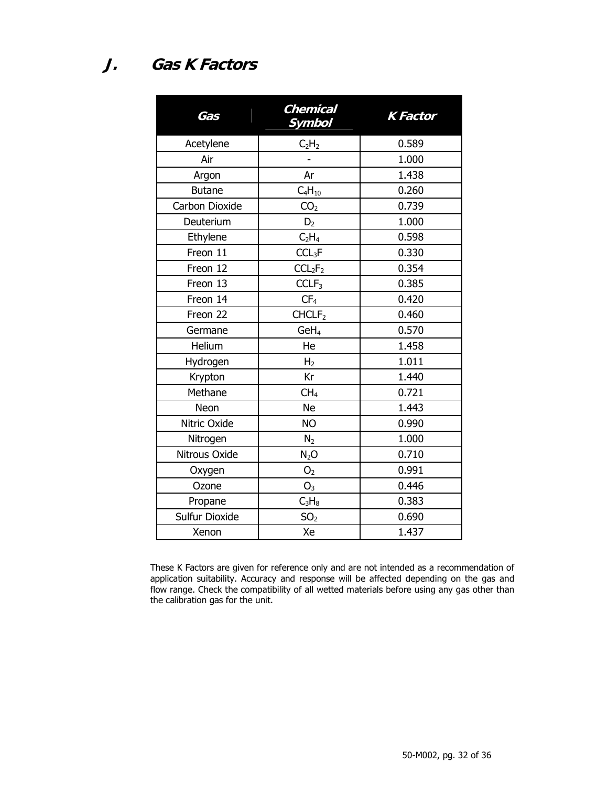**J. Gas K Factors** 

| Gas            | Chemical<br><b>Symbol</b>       | <b>K</b> Factor |
|----------------|---------------------------------|-----------------|
| Acetylene      | C <sub>2</sub> H <sub>2</sub>   | 0.589           |
| Air            |                                 | 1.000           |
| Argon          | Ar                              | 1.438           |
| <b>Butane</b>  | $C_4H_{10}$                     | 0.260           |
| Carbon Dioxide | CO <sub>2</sub>                 | 0.739           |
| Deuterium      | D <sub>2</sub>                  | 1.000           |
| Ethylene       | C <sub>2</sub> H <sub>4</sub>   | 0.598           |
| Freon 11       | CCL <sub>3</sub> F              | 0.330           |
| Freon 12       | CCL <sub>2</sub> F <sub>2</sub> | 0.354           |
| Freon 13       | CCLF <sub>3</sub>               | 0.385           |
| Freon 14       | CF <sub>4</sub>                 | 0.420           |
| Freon 22       | CHCLF <sub>2</sub>              | 0.460           |
| Germane        | GeH <sub>4</sub>                | 0.570           |
| Helium         | He                              | 1.458           |
| Hydrogen       | H <sub>2</sub>                  | 1.011           |
| Krypton        | Kr                              | 1.440           |
| Methane        | CH <sub>4</sub>                 | 0.721           |
| Neon           | <b>Ne</b>                       | 1.443           |
| Nitric Oxide   | <b>NO</b>                       | 0.990           |
| Nitrogen       | N <sub>2</sub>                  | 1.000           |
| Nitrous Oxide  | N <sub>2</sub> O                | 0.710           |
| Oxygen         | O <sub>2</sub>                  | 0.991           |
| Ozone          | O <sub>3</sub>                  | 0.446           |
| Propane        | $C_3H_8$                        | 0.383           |
| Sulfur Dioxide | SO <sub>2</sub>                 | 0.690           |
| Xenon          | Xe                              | 1.437           |

These K Factors are given for reference only and are not intended as a recommendation of application suitability. Accuracy and response will be affected depending on the gas and flow range. Check the compatibility of all wetted materials before using any gas other than the calibration gas for the unit.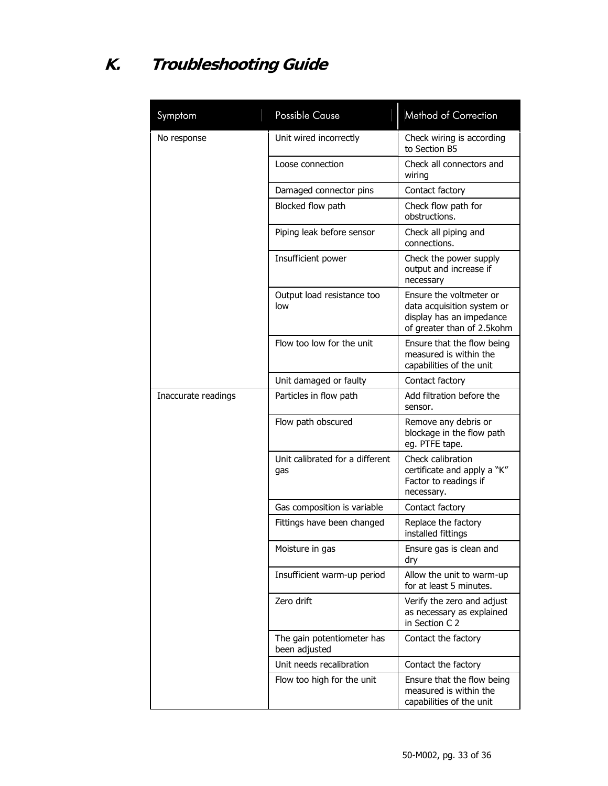# **K. Troubleshooting Guide**

| Symptom             | <b>Possible Cause</b>                       | Method of Correction                                                                                            |
|---------------------|---------------------------------------------|-----------------------------------------------------------------------------------------------------------------|
| No response         | Unit wired incorrectly                      | Check wiring is according<br>to Section B5                                                                      |
|                     | Loose connection                            | Check all connectors and<br>wiring                                                                              |
|                     | Damaged connector pins                      | Contact factory                                                                                                 |
|                     | Blocked flow path                           | Check flow path for<br>obstructions.                                                                            |
|                     | Piping leak before sensor                   | Check all piping and<br>connections.                                                                            |
|                     | Insufficient power                          | Check the power supply<br>output and increase if<br>necessary                                                   |
|                     | Output load resistance too<br>low           | Ensure the voltmeter or<br>data acquisition system or<br>display has an impedance<br>of greater than of 2.5kohm |
|                     | Flow too low for the unit                   | Ensure that the flow being<br>measured is within the<br>capabilities of the unit                                |
|                     | Unit damaged or faulty                      | Contact factory                                                                                                 |
| Inaccurate readings | Particles in flow path                      | Add filtration before the<br>sensor.                                                                            |
|                     | Flow path obscured                          | Remove any debris or<br>blockage in the flow path<br>eg. PTFE tape.                                             |
|                     | Unit calibrated for a different<br>gas      | Check calibration<br>certificate and apply a "K"<br>Factor to readings if<br>necessary.                         |
|                     | Gas composition is variable                 | Contact factory                                                                                                 |
|                     | Fittings have been changed                  | Replace the factory<br>installed fittings                                                                       |
|                     | Moisture in gas                             | Ensure gas is clean and<br>dry                                                                                  |
|                     | Insufficient warm-up period                 | Allow the unit to warm-up<br>for at least 5 minutes.                                                            |
|                     | Zero drift                                  | Verify the zero and adjust<br>as necessary as explained<br>in Section C 2                                       |
|                     | The gain potentiometer has<br>been adjusted | Contact the factory                                                                                             |
|                     | Unit needs recalibration                    | Contact the factory                                                                                             |
|                     | Flow too high for the unit                  | Ensure that the flow being<br>measured is within the<br>capabilities of the unit                                |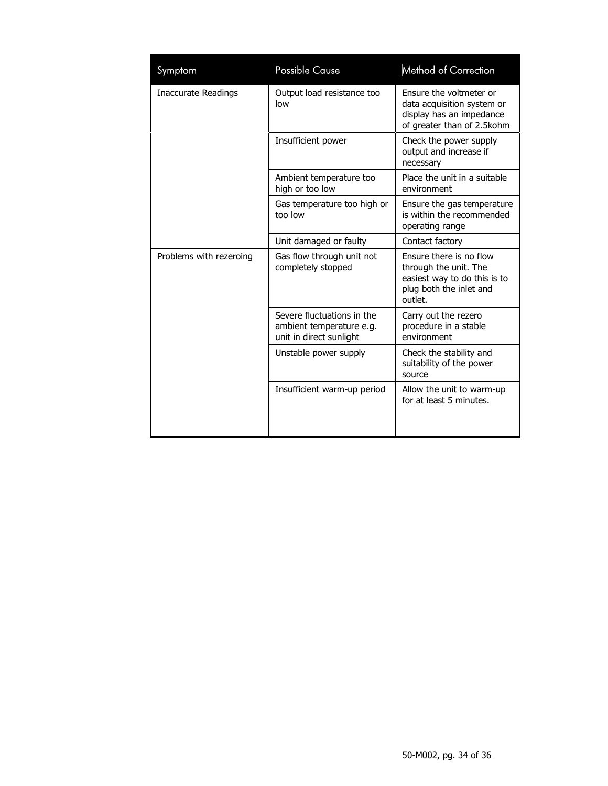| Symptom                    | <b>Possible Cause</b>                                                             | Method of Correction                                                                                                   |
|----------------------------|-----------------------------------------------------------------------------------|------------------------------------------------------------------------------------------------------------------------|
| <b>Inaccurate Readings</b> | Output load resistance too<br>low                                                 | Ensure the voltmeter or<br>data acquisition system or<br>display has an impedance<br>of greater than of 2.5kohm        |
|                            | Insufficient power                                                                | Check the power supply<br>output and increase if<br>necessary                                                          |
|                            | Ambient temperature too<br>high or too low                                        | Place the unit in a suitable<br>environment                                                                            |
|                            | Gas temperature too high or<br>too low                                            | Ensure the gas temperature<br>is within the recommended<br>operating range                                             |
|                            | Unit damaged or faulty                                                            | Contact factory                                                                                                        |
| Problems with rezeroing    | Gas flow through unit not<br>completely stopped                                   | Ensure there is no flow<br>through the unit. The<br>easiest way to do this is to<br>plug both the inlet and<br>outlet. |
|                            | Severe fluctuations in the<br>ambient temperature e.g.<br>unit in direct sunlight | Carry out the rezero<br>procedure in a stable<br>environment                                                           |
|                            | Unstable power supply                                                             | Check the stability and<br>suitability of the power<br>source                                                          |
|                            | Insufficient warm-up period                                                       | Allow the unit to warm-up<br>for at least 5 minutes.                                                                   |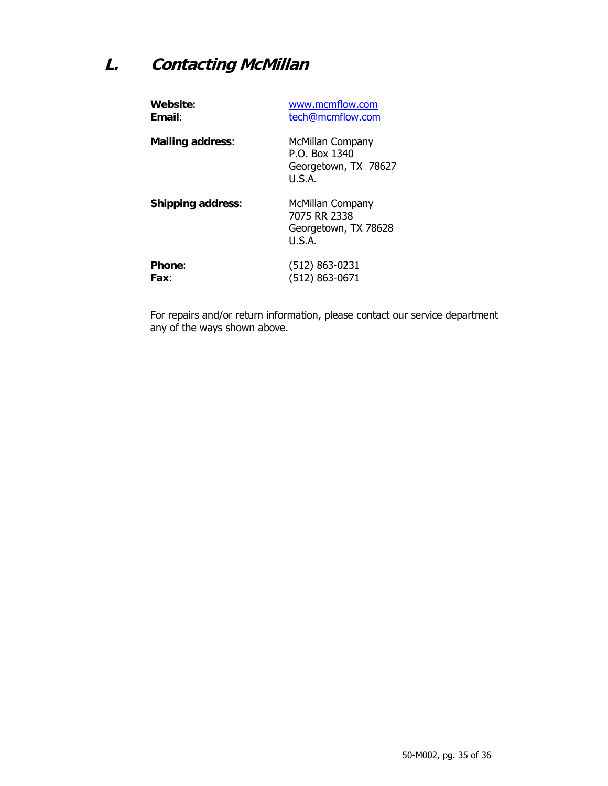## **L. Contacting McMillan**

| Website:                 | www.mcmflow.com                                                     |
|--------------------------|---------------------------------------------------------------------|
| <b>Fmail:</b>            | tech@mcmflow.com                                                    |
| <b>Mailing address:</b>  | McMillan Company<br>P.O. Box 1340<br>Georgetown, TX 78627<br>U.S.A. |
| <b>Shipping address:</b> | McMillan Company<br>7075 RR 2338<br>Georgetown, TX 78628<br>U.S.A.  |
| <b>Phone:</b>            | $(512) 863 - 0231$                                                  |
| Fax:                     | (512) 863-0671                                                      |

For repairs and/or return information, please contact our service department any of the ways shown above.